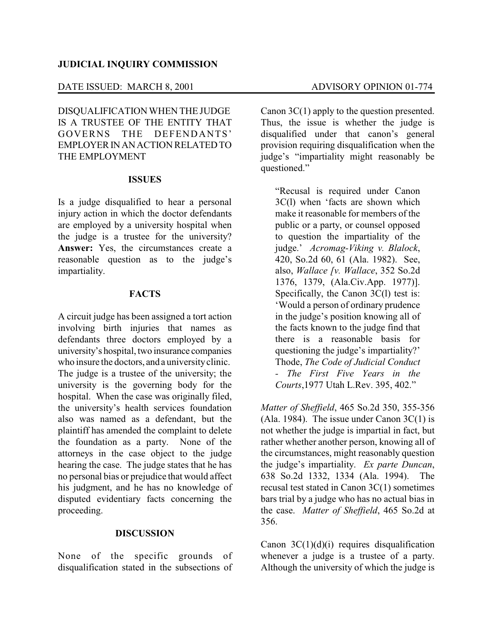# **JUDICIAL INQUIRY COMMISSION**

# DATE ISSUED: MARCH 8, 2001 ADVISORY OPINION 01-774

DISQUALIFICATION WHEN THE JUDGE IS A TRUSTEE OF THE ENTITY THAT GOVERNS THE DEFENDANTS' EMPLOYER INANACTION RELATEDTO THE EMPLOYMENT

#### **ISSUES**

Is a judge disqualified to hear a personal injury action in which the doctor defendants are employed by a university hospital when the judge is a trustee for the university? **Answer:** Yes, the circumstances create a reasonable question as to the judge's impartiality.

# **FACTS**

A circuit judge has been assigned a tort action involving birth injuries that names as defendants three doctors employed by a university's hospital, two insurance companies who insure the doctors, and a universityclinic. The judge is a trustee of the university; the university is the governing body for the hospital. When the case was originally filed, the university's health services foundation also was named as a defendant, but the plaintiff has amended the complaint to delete the foundation as a party. None of the attorneys in the case object to the judge hearing the case. The judge states that he has no personal bias or prejudice that would affect his judgment, and he has no knowledge of disputed evidentiary facts concerning the proceeding.

# **DISCUSSION**

None of the specific grounds of disqualification stated in the subsections of

Canon 3C(1) apply to the question presented. Thus, the issue is whether the judge is disqualified under that canon's general provision requiring disqualification when the judge's "impartiality might reasonably be questioned."

"Recusal is required under Canon 3C(l) when 'facts are shown which make it reasonable for members of the public or a party, or counsel opposed to question the impartiality of the judge.' *Acromag-Viking v. Blalock*, 420, So.2d 60, 61 (Ala. 1982). See, also, *Wallace [v. Wallace*, 352 So.2d 1376, 1379, (Ala.Civ.App. 1977)]. Specifically, the Canon 3C(l) test is: 'Would a person of ordinary prudence in the judge's position knowing all of the facts known to the judge find that there is a reasonable basis for questioning the judge's impartiality?' Thode, *The Code of Judicial Conduct - The First Five Years in the Courts*,1977 Utah L.Rev. 395, 402."

*Matter of Sheffield*, 465 So.2d 350, 355-356 (Ala. 1984). The issue under Canon  $3C(1)$  is not whether the judge is impartial in fact, but rather whether another person, knowing all of the circumstances, might reasonably question the judge's impartiality. *Ex parte Duncan*, 638 So.2d 1332, 1334 (Ala. 1994). The recusal test stated in Canon 3C(1) sometimes bars trial by a judge who has no actual bias in the case. *Matter of Sheffield*, 465 So.2d at 356.

Canon  $3C(1)(d)(i)$  requires disqualification whenever a judge is a trustee of a party. Although the university of which the judge is